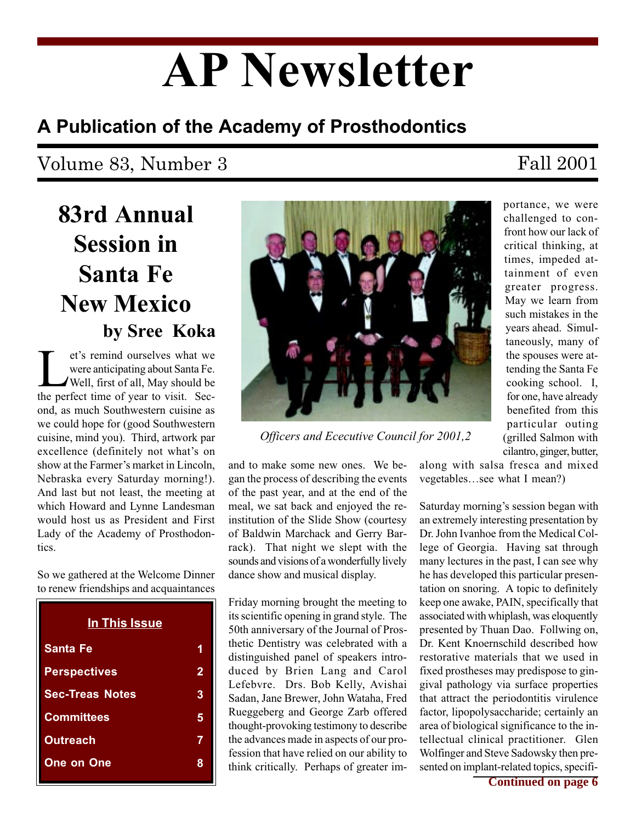# AP Newsletter

# A Publication of the Academy of Prosthodontics

# Volume 83, Number 3 Fall 2001

# 83rd Annual Session in Santa Fe New Mexico by Sree Koka

et's remind ourselves what we<br>were anticipating about Santa Fe.<br>Well, first of all, May should be<br>the perfect time of year to visit. Secwere anticipating about Santa Fe. Well, first of all, May should be the perfect time of year to visit. Second, as much Southwestern cuisine as we could hope for (good Southwestern cuisine, mind you). Third, artwork par excellence (definitely not what's on show at the Farmer's market in Lincoln. Nebraska every Saturday morning!). And last but not least, the meeting at which Howard and Lynne Landesman would host us as President and First Lady of the Academy of Prosthodontics.

So we gathered at the Welcome Dinner to renew friendships and acquaintances

| 1 |
|---|
| 2 |
| 3 |
| 5 |
| 7 |
| 9 |
|   |



Officers and Ececutive Council for 2001,2

and to make some new ones. We began the process of describing the events of the past year, and at the end of the meal, we sat back and enjoyed the reinstitution of the Slide Show (courtesy of Baldwin Marchack and Gerry Barrack). That night we slept with the sounds and visions of a wonderfully lively dance show and musical display.

Friday morning brought the meeting to its scientific opening in grand style. The 50th anniversary of the Journal of Prosthetic Dentistry was celebrated with a distinguished panel of speakers introduced by Brien Lang and Carol Lefebvre. Drs. Bob Kelly, Avishai Sadan, Jane Brewer, John Wataha, Fred Rueggeberg and George Zarb offered thought-provoking testimony to describe the advances made in aspects of our profession that have relied on our ability to think critically. Perhaps of greater im-

portance, we were challenged to confront how our lack of critical thinking, at times, impeded attainment of even greater progress. May we learn from such mistakes in the years ahead. Simultaneously, many of the spouses were attending the Santa Fe cooking school. I, for one, have already benefited from this particular outing (grilled Salmon with cilantro, ginger, butter,

along with salsa fresca and mixed vegetables...see what I mean?)

Saturday morning's session began with an extremely interesting presentation by Dr. John Ivanhoe from the Medical College of Georgia. Having sat through many lectures in the past, I can see why he has developed this particular presentation on snoring. A topic to definitely keep one awake, PAIN, specifically that associated with whiplash, was eloquently presented by Thuan Dao. Follwing on, Dr. Kent Knoernschild described how restorative materials that we used in fixed prostheses may predispose to gingival pathology via surface properties that attract the periodontitis virulence factor, lipopolysaccharide; certainly an area of biological significance to the intellectual clinical practitioner. Glen Wolfinger and Steve Sadowsky then presented on implant-related topics, specifi-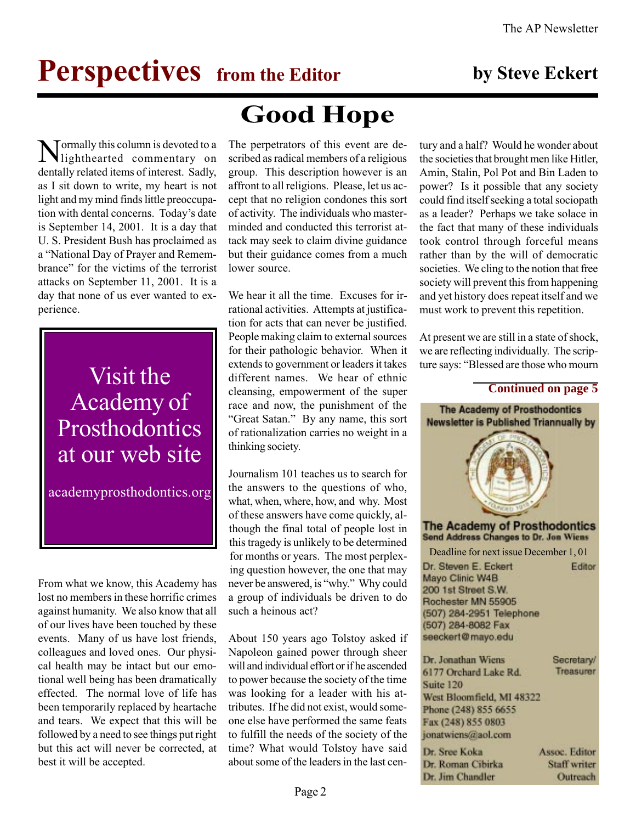# **Perspectives** from the Editor by Steve Eckert

Tormally this column is devoted to a lighthearted commentary on dentally related items of interest. Sadly, as I sit down to write, my heart is not light and my mind finds little preoccupation with dental concerns. Today's date is September 14, 2001. It is a day that U. S. President Bush has proclaimed as a "National Day of Prayer and Remembrance" for the victims of the terrorist attacks on September 11, 2001. It is a day that none of us ever wanted to experience.

Academy of **Prosthodontics** at our web site

academyprosthodontics.org

From what we know, this Academy has lost no members in these horrific crimes against humanity. We also know that all of our lives have been touched by these events. Many of us have lost friends, colleagues and loved ones. Our physical health may be intact but our emotional well being has been dramatically effected. The normal love of life has been temporarily replaced by heartache and tears. We expect that this will be followed by a need to see things put right but this act will never be corrected, at best it will be accepted.

# Good Hope

The perpetrators of this event are described as radical members of a religious group. This description however is an affront to all religions. Please, let us accept that no religion condones this sort of activity. The individuals who masterminded and conducted this terrorist attack may seek to claim divine guidance but their guidance comes from a much lower source.

We hear it all the time. Excuses for irrational activities. Attempts at justification for acts that can never be justified. People making claim to external sources for their pathologic behavior. When it extends to government or leaders it takes Visit the different names. We hear of ethnic<br>
cleansing, empowerment of the super<br>
Continued on page 5 cleansing, empowerment of the super race and now, the punishment of the "Great Satan." By any name, this sort of rationalization carries no weight in a thinking society.

> Journalism 101 teaches us to search for the answers to the questions of who, what, when, where, how, and why. Most of these answers have come quickly, although the final total of people lost in this tragedy is unlikely to be determined for months or years. The most perplexing question however, the one that may never be answered, is "why." Why could a group of individuals be driven to do such a heinous act?

> About 150 years ago Tolstoy asked if Napoleon gained power through sheer will and individual effort or if he ascended to power because the society of the time was looking for a leader with his attributes. If he did not exist, would someone else have performed the same feats to fulfill the needs of the society of the time? What would Tolstoy have said about some of the leaders in the last cen

tury and a half? Would he wonder about the societies that brought men like Hitler, Amin, Stalin, Pol Pot and Bin Laden to power? Is it possible that any society could find itself seeking a total sociopath as a leader? Perhaps we take solace in the fact that many of these individuals took control through forceful means rather than by the will of democratic societies. We cling to the notion that free society will prevent this from happening and yet history does repeat itself and we must work to prevent this repetition.

At present we are still in a state of shock, we are reflecting individually. The scripture says: "Blessed are those who mourn

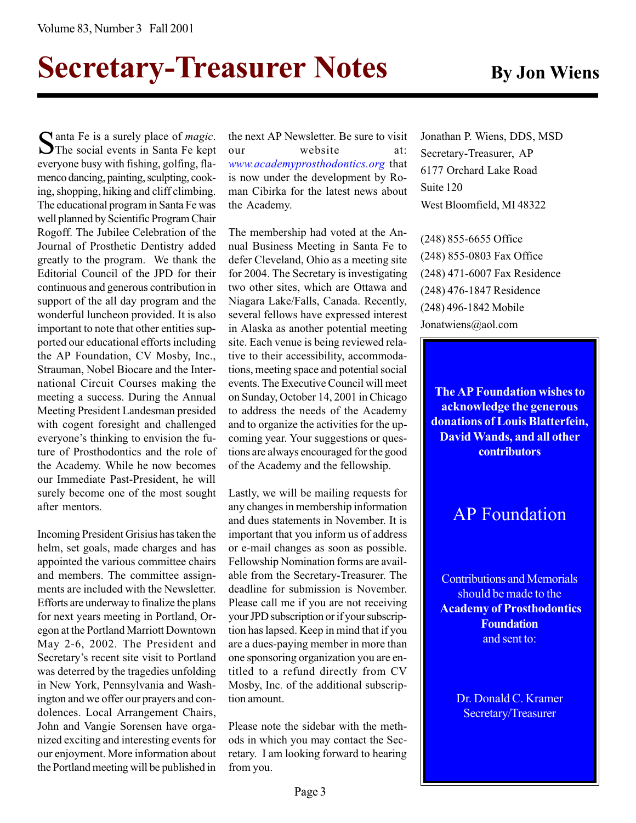# Secretary-Treasurer Notes By Jon Wiens

Santa Fe is a surely place of *magic*.<br>The social events in Santa Fe kept everyone busy with fishing, golfing, flamenco dancing, painting, sculpting, cooking, shopping, hiking and cliff climbing. The educational program in Santa Fe was well planned by Scientific Program Chair Rogoff. The Jubilee Celebration of the Journal of Prosthetic Dentistry added greatly to the program. We thank the Editorial Council of the JPD for their continuous and generous contribution in support of the all day program and the wonderful luncheon provided. It is also important to note that other entities supported our educational efforts including the AP Foundation, CV Mosby, Inc., Strauman, Nobel Biocare and the International Circuit Courses making the meeting a success. During the Annual Meeting President Landesman presided with cogent foresight and challenged everyone's thinking to envision the future of Prosthodontics and the role of the Academy. While he now becomes our Immediate Past-President, he will surely become one of the most sought after mentors.

Incoming President Grisius has taken the helm, set goals, made charges and has appointed the various committee chairs and members. The committee assignments are included with the Newsletter. Efforts are underway to finalize the plans for next years meeting in Portland, Oregon at the Portland Marriott Downtown May 2-6, 2002. The President and Secretary's recent site visit to Portland was deterred by the tragedies unfolding in New York, Pennsylvania and Washington and we offer our prayers and condolences. Local Arrangement Chairs, John and Vangie Sorensen have organized exciting and interesting events for our enjoyment. More information about the Portland meeting will be published in

the next AP Newsletter. Be sure to visit our website at: www.academyprosthodontics.org that is now under the development by Roman Cibirka for the latest news about the Academy.

The membership had voted at the Annual Business Meeting in Santa Fe to defer Cleveland, Ohio as a meeting site for 2004. The Secretary is investigating two other sites, which are Ottawa and Niagara Lake/Falls, Canada. Recently, several fellows have expressed interest in Alaska as another potential meeting site. Each venue is being reviewed relative to their accessibility, accommodations, meeting space and potential social events. The Executive Council will meet on Sunday, October 14, 2001 in Chicago to address the needs of the Academy and to organize the activities for the upcoming year. Your suggestions or questions are always encouraged for the good of the Academy and the fellowship.

Lastly, we will be mailing requests for any changes in membership information and dues statements in November. It is important that you inform us of address or e-mail changes as soon as possible. Fellowship Nomination forms are available from the Secretary-Treasurer. The deadline for submission is November. Please call me if you are not receiving your JPD subscription or if your subscription has lapsed. Keep in mind that if you are a dues-paying member in more than one sponsoring organization you are entitled to a refund directly from CV Mosby, Inc. of the additional subscription amount.

Please note the sidebar with the methods in which you may contact the Secretary. I am looking forward to hearing from you.

Jonathan P. Wiens, DDS, MSD Secretary-Treasurer, AP 6177 Orchard Lake Road Suite 120 West Bloomfield, MI 48322

(248) 855-6655 Office (248) 855-0803 Fax Office (248) 471-6007 Fax Residence (248) 476-1847 Residence (248) 496-1842 Mobile Jonatwiens@aol.com

The AP Foundation wishes to acknowledge the generous donations of Louis Blatterfein, David Wands, and all other **contributors** 

# AP Foundation

Contributions and Memorials should be made to the Academy of Prosthodontics **Foundation** and sent to:

> Dr. Donald C. Kramer Secretary/Treasurer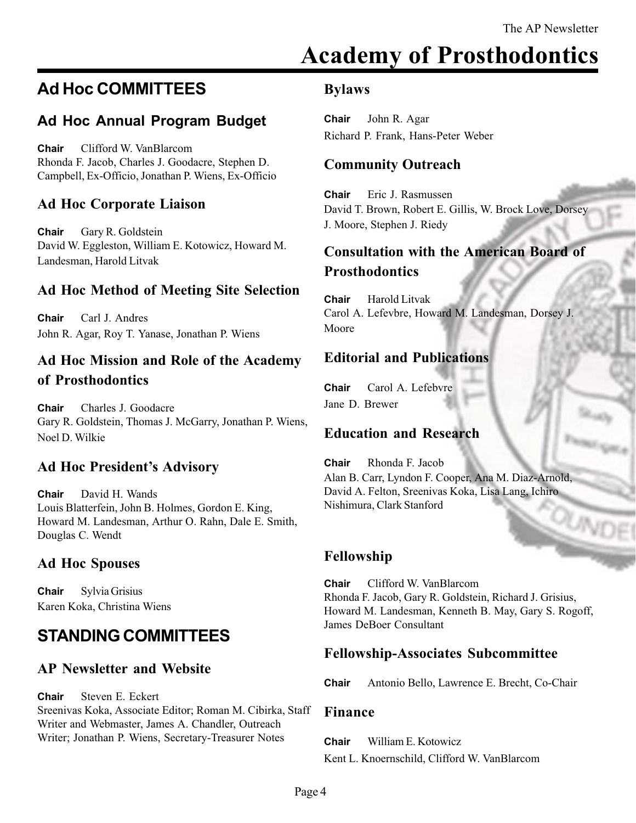# Academy of Prosthodontics

# Ad Hoc COMMITTEES

# Ad Hoc Annual Program Budget

Chair Clifford W. VanBlarcom Rhonda F. Jacob, Charles J. Goodacre, Stephen D. Campbell, Ex-Officio, Jonathan P. Wiens, Ex-Officio

# Ad Hoc Corporate Liaison

Chair Gary R. Goldstein David W. Eggleston, William E. Kotowicz, Howard M. Landesman, Harold Litvak

# Ad Hoc Method of Meeting Site Selection

Chair Carl J. Andres John R. Agar, Roy T. Yanase, Jonathan P. Wiens

# Ad Hoc Mission and Role of the Academy of Prosthodontics

Chair Charles J. Goodacre Gary R. Goldstein, Thomas J. McGarry, Jonathan P. Wiens, Noel D. Wilkie

# Ad Hoc President's Advisory

Chair David H. Wands Louis Blatterfein, John B. Holmes, Gordon E. King, Howard M. Landesman, Arthur O. Rahn, Dale E. Smith, Douglas C. Wendt

# Ad Hoc Spouses

Chair Sylvia Grisius Karen Koka, Christina Wiens

# STANDING COMMITTEES

# AP Newsletter and Website

Chair Steven E. Eckert Sreenivas Koka, Associate Editor; Roman M. Cibirka, Staff Writer and Webmaster, James A. Chandler, Outreach Writer; Jonathan P. Wiens, Secretary-Treasurer Notes

## Bylaws

Chair John R. Agar Richard P. Frank, Hans-Peter Weber

# Community Outreach

Chair Eric J. Rasmussen David T. Brown, Robert E. Gillis, W. Brock Love, Dorsey J. Moore, Stephen J. Riedy

# Consultation with the American Board of **Prosthodontics**

Chair Harold Litvak Carol A. Lefevbre, Howard M. Landesman, Dorsey J. Moore

# Editorial and Publications

Chair Carol A. Lefebvre Jane D. Brewer

# Education and Research

Chair Rhonda F. Jacob Alan B. Carr, Lyndon F. Cooper, Ana M. Diaz-Arnold, David A. Felton, Sreenivas Koka, Lisa Lang, Ichiro Nishimura, Clark Stanford

# Fellowship

Chair Clifford W. VanBlarcom Rhonda F. Jacob, Gary R. Goldstein, Richard J. Grisius, Howard M. Landesman, Kenneth B. May, Gary S. Rogoff, James DeBoer Consultant

# Fellowship-Associates Subcommittee

Chair Antonio Bello, Lawrence E. Brecht, Co-Chair

### Finance

Chair William E. Kotowicz

Kent L. Knoernschild, Clifford W. VanBlarcom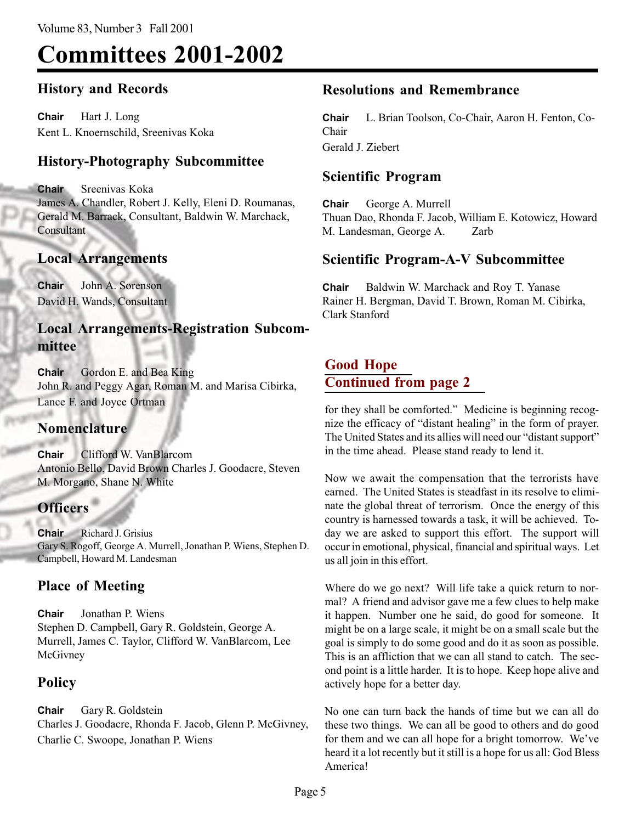# Committees 2001-2002

# History and Records

Chair Hart J. Long Kent L. Knoernschild, Sreenivas Koka

# History-Photography Subcommittee

Chair Sreenivas Koka James A. Chandler, Robert J. Kelly, Eleni D. Roumanas, Gerald M. Barrack, Consultant, Baldwin W. Marchack, **Consultant** 

## Local Arrangements

Chair John A. Sorenson David H. Wands, Consultant

# Local Arrangements-Registration Subcommittee

Chair Gordon E. and Bea King John R. and Peggy Agar, Roman M. and Marisa Cibirka, Lance F. and Joyce Ortman

### **Nomenclature**

Chair Clifford W. VanBlarcom Antonio Bello, David Brown Charles J. Goodacre, Steven M. Morgano, Shane N. White

# **Officers**

Chair Richard J. Grisius Gary S. Rogoff, George A. Murrell, Jonathan P. Wiens, Stephen D. Campbell, Howard M. Landesman

# Place of Meeting

Chair Jonathan P. Wiens Stephen D. Campbell, Gary R. Goldstein, George A. Murrell, James C. Taylor, Clifford W. VanBlarcom, Lee **McGivney** 

# Policy

Chair Gary R. Goldstein Charles J. Goodacre, Rhonda F. Jacob, Glenn P. McGivney, Charlie C. Swoope, Jonathan P. Wiens

# Resolutions and Remembrance

Chair L. Brian Toolson, Co-Chair, Aaron H. Fenton, Co-Chair Gerald J. Ziebert

# Scientific Program

Chair George A. Murrell Thuan Dao, Rhonda F. Jacob, William E. Kotowicz, Howard M. Landesman, George A. Zarb

# Scientific Program-A-V Subcommittee

Chair Baldwin W. Marchack and Roy T. Yanase Rainer H. Bergman, David T. Brown, Roman M. Cibirka, Clark Stanford

# Good Hope Continued from page 2

for they shall be comforted." Medicine is beginning recognize the efficacy of "distant healing" in the form of prayer. The United States and its allies will need our "distant support" in the time ahead. Please stand ready to lend it.

Now we await the compensation that the terrorists have earned. The United States is steadfast in its resolve to eliminate the global threat of terrorism. Once the energy of this country is harnessed towards a task, it will be achieved. Today we are asked to support this effort. The support will occur in emotional, physical, financial and spiritual ways. Let us all join in this effort.

Where do we go next? Will life take a quick return to normal? A friend and advisor gave me a few clues to help make it happen. Number one he said, do good for someone. It might be on a large scale, it might be on a small scale but the goal is simply to do some good and do it as soon as possible. This is an affliction that we can all stand to catch. The second point is a little harder. It is to hope. Keep hope alive and actively hope for a better day.

No one can turn back the hands of time but we can all do these two things. We can all be good to others and do good for them and we can all hope for a bright tomorrow. We've heard it a lot recently but it still is a hope for us all: God Bless America!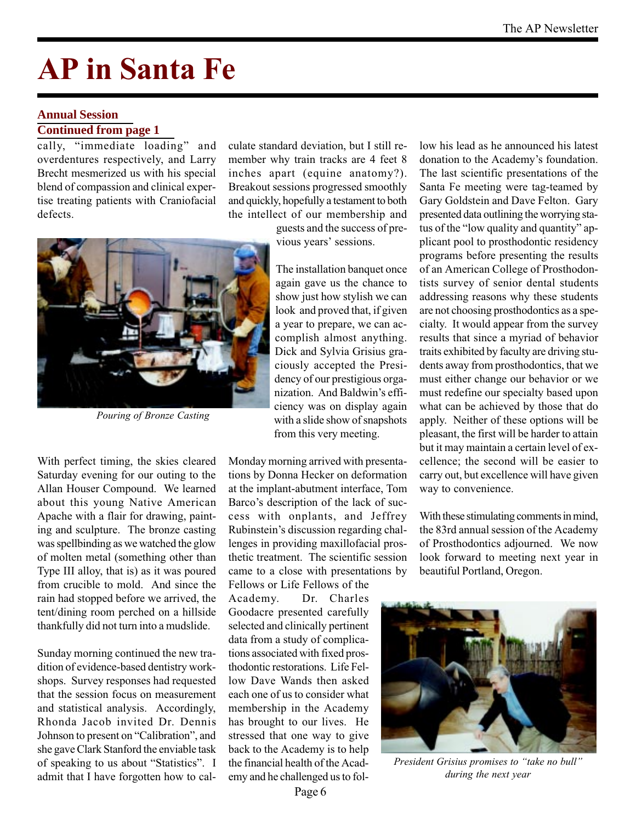# AP in Santa Fe

### **Annual Session**

### **Continued from page 1**

cally, "immediate loading" and overdentures respectively, and Larry Brecht mesmerized us with his special blend of compassion and clinical expertise treating patients with Craniofacial defects.

culate standard deviation, but I still remember why train tracks are 4 feet 8 inches apart (equine anatomy?). Breakout sessions progressed smoothly and quickly, hopefully a testament to both the intellect of our membership and

> guests and the success of previous years' sessions.



Pouring of Bronze Casting

With perfect timing, the skies cleared Saturday evening for our outing to the Allan Houser Compound. We learned about this young Native American Apache with a flair for drawing, painting and sculpture. The bronze casting was spellbinding as we watched the glow of molten metal (something other than Type III alloy, that is) as it was poured from crucible to mold. And since the rain had stopped before we arrived, the tent/dining room perched on a hillside thankfully did not turn into a mudslide.

Sunday morning continued the new tradition of evidence-based dentistry workshops. Survey responses had requested that the session focus on measurement and statistical analysis. Accordingly, Rhonda Jacob invited Dr. Dennis Johnson to present on "Calibration", and she gave Clark Stanford the enviable task of speaking to us about "Statistics". I admit that I have forgotten how to cal-

again gave us the chance to show just how stylish we can look and proved that, if given a year to prepare, we can accomplish almost anything. Dick and Sylvia Grisius graciously accepted the Presidency of our prestigious organization. And Baldwin's efficiency was on display again with a slide show of snapshots from this very meeting.

The installation banquet once

Monday morning arrived with presentations by Donna Hecker on deformation at the implant-abutment interface, Tom Barco's description of the lack of success with onplants, and Jeffrey Rubinstein's discussion regarding challenges in providing maxillofacial prosthetic treatment. The scientific session came to a close with presentations by

Fellows or Life Fellows of the Academy. Dr. Charles Goodacre presented carefully selected and clinically pertinent data from a study of complications associated with fixed prosthodontic restorations. Life Fellow Dave Wands then asked each one of us to consider what membership in the Academy has brought to our lives. He stressed that one way to give back to the Academy is to help the financial health of the Academy and he challenged us to follow his lead as he announced his latest donation to the Academy's foundation. The last scientific presentations of the Santa Fe meeting were tag-teamed by Gary Goldstein and Dave Felton. Gary presented data outlining the worrying status of the "low quality and quantity" applicant pool to prosthodontic residency programs before presenting the results of an American College of Prosthodontists survey of senior dental students addressing reasons why these students are not choosing prosthodontics as a specialty. It would appear from the survey results that since a myriad of behavior traits exhibited by faculty are driving students away from prosthodontics, that we must either change our behavior or we must redefine our specialty based upon what can be achieved by those that do apply. Neither of these options will be pleasant, the first will be harder to attain but it may maintain a certain level of excellence; the second will be easier to carry out, but excellence will have given way to convenience.

With these stimulating comments in mind, the 83rd annual session of the Academy of Prosthodontics adjourned. We now look forward to meeting next year in beautiful Portland, Oregon.



President Grisius promises to "take no bull" during the next year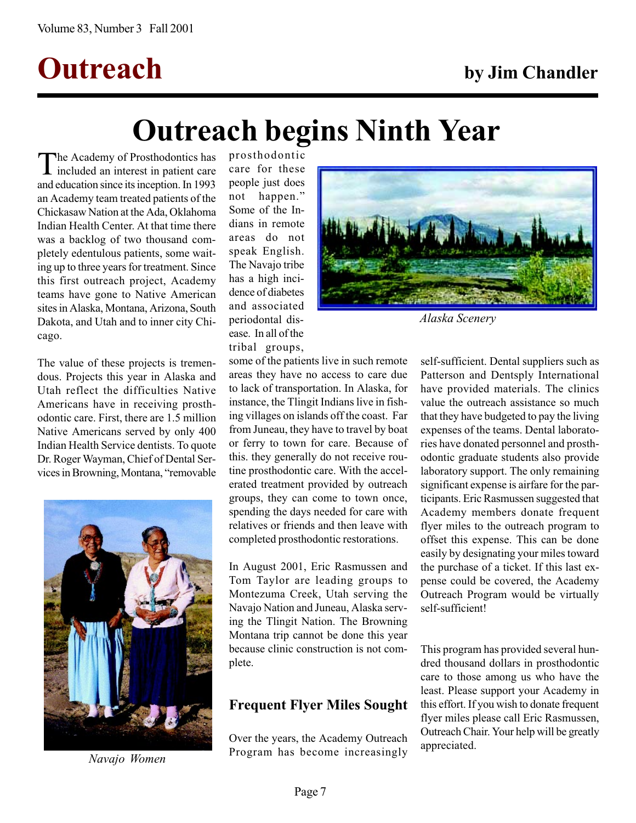# Outreach by Jim Chandler

# Outreach begins Ninth Year

The Academy of Prosthodontics has<br>included an interest in patient care and education since its inception. In 1993 an Academy team treated patients of the Chickasaw Nation at the Ada, Oklahoma Indian Health Center. At that time there was a backlog of two thousand completely edentulous patients, some waiting up to three years for treatment. Since this first outreach project, Academy teams have gone to Native American sites in Alaska, Montana, Arizona, South Dakota, and Utah and to inner city Chicago.

The value of these projects is tremendous. Projects this year in Alaska and Utah reflect the difficulties Native Americans have in receiving prosthodontic care. First, there are 1.5 million Native Americans served by only 400 Indian Health Service dentists. To quote Dr. Roger Wayman, Chief of Dental Services in Browning, Montana, "removable



Navajo Women

prosthodontic care for these people just does not happen. Some of the Indians in remote areas do not speak English. The Navajo tribe has a high incidence of diabetes and associated periodontal disease. In all of the tribal groups,

some of the patients live in such remote areas they have no access to care due to lack of transportation. In Alaska, for instance, the Tlingit Indians live in fishing villages on islands off the coast. Far from Juneau, they have to travel by boat or ferry to town for care. Because of this. they generally do not receive routine prosthodontic care. With the accelerated treatment provided by outreach groups, they can come to town once, spending the days needed for care with relatives or friends and then leave with completed prosthodontic restorations.

In August 2001, Eric Rasmussen and Tom Taylor are leading groups to Montezuma Creek, Utah serving the Navajo Nation and Juneau, Alaska serving the Tlingit Nation. The Browning Montana trip cannot be done this year because clinic construction is not complete.

# Frequent Flyer Miles Sought

Over the years, the Academy Outreach Program has become increasingly



Alaska Scenery

self-sufficient. Dental suppliers such as Patterson and Dentsply International have provided materials. The clinics value the outreach assistance so much that they have budgeted to pay the living expenses of the teams. Dental laboratories have donated personnel and prosthodontic graduate students also provide laboratory support. The only remaining significant expense is airfare for the participants. Eric Rasmussen suggested that Academy members donate frequent flyer miles to the outreach program to offset this expense. This can be done easily by designating your miles toward the purchase of a ticket. If this last expense could be covered, the Academy Outreach Program would be virtually self-sufficient!

This program has provided several hundred thousand dollars in prosthodontic care to those among us who have the least. Please support your Academy in this effort. If you wish to donate frequent flyer miles please call Eric Rasmussen, Outreach Chair. Your help will be greatly appreciated.